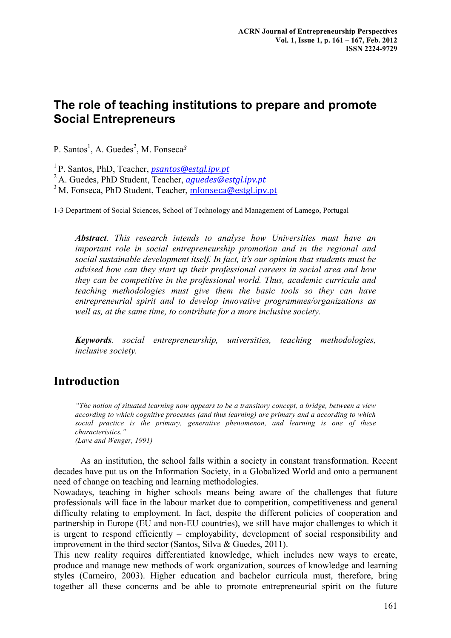# **The role of teaching institutions to prepare and promote Social Entrepreneurs**

P. Santos<sup>1</sup>, A. Guedes<sup>2</sup>, M. Fonseca<sup>3</sup>

1 P. Santos, PhD, Teacher, *psantos@estgl.ipv.pt*

2 A. Guedes, PhD Student, Teacher, *aguedes@estgl.ipv.pt*

 $3^3$  M. Fonseca, PhD Student, Teacher, mfonseca@estgl.jpv.pt

1-3 Department of Social Sciences, School of Technology and Management of Lamego, Portugal

*Abstract. This research intends to analyse how Universities must have an important role in social entrepreneurship promotion and in the regional and social sustainable development itself. In fact, it's our opinion that students must be advised how can they start up their professional careers in social area and how they can be competitive in the professional world. Thus, academic curricula and teaching methodologies must give them the basic tools so they can have entrepreneurial spirit and to develop innovative programmes/organizations as well as, at the same time, to contribute for a more inclusive society.*

*Keywords. social entrepreneurship, universities, teaching methodologies, inclusive society.*

### **Introduction**

*"The notion of situated learning now appears to be a transitory concept, a bridge, between a view according to which cognitive processes (and thus learning) are primary and a according to which social practice is the primary, generative phenomenon, and learning is one of these characteristics." (Lave and Wenger, 1991)*

As an institution, the school falls within a society in constant transformation. Recent decades have put us on the Information Society, in a Globalized World and onto a permanent need of change on teaching and learning methodologies.

Nowadays, teaching in higher schools means being aware of the challenges that future professionals will face in the labour market due to competition, competitiveness and general difficulty relating to employment. In fact, despite the different policies of cooperation and partnership in Europe (EU and non-EU countries), we still have major challenges to which it is urgent to respond efficiently – employability, development of social responsibility and improvement in the third sector (Santos, Silva & Guedes, 2011).

This new reality requires differentiated knowledge, which includes new ways to create, produce and manage new methods of work organization, sources of knowledge and learning styles (Carneiro, 2003). Higher education and bachelor curricula must, therefore, bring together all these concerns and be able to promote entrepreneurial spirit on the future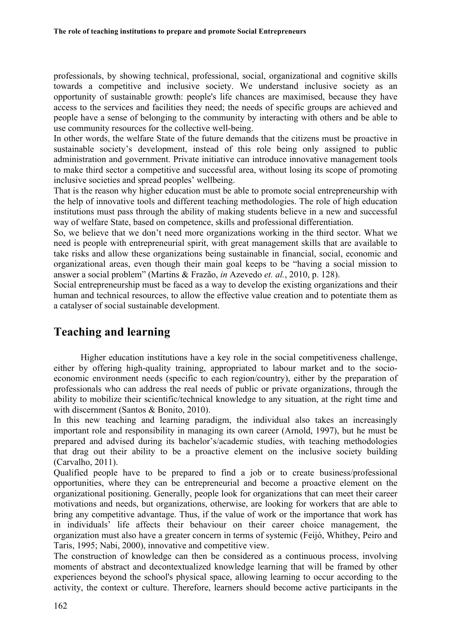professionals, by showing technical, professional, social, organizational and cognitive skills towards a competitive and inclusive society. We understand inclusive society as an opportunity of sustainable growth: people's life chances are maximised, because they have access to the services and facilities they need; the needs of specific groups are achieved and people have a sense of belonging to the community by interacting with others and be able to use community resources for the collective well-being.

In other words, the welfare State of the future demands that the citizens must be proactive in sustainable society's development, instead of this role being only assigned to public administration and government. Private initiative can introduce innovative management tools to make third sector a competitive and successful area, without losing its scope of promoting inclusive societies and spread peoples' wellbeing.

That is the reason why higher education must be able to promote social entrepreneurship with the help of innovative tools and different teaching methodologies. The role of high education institutions must pass through the ability of making students believe in a new and successful way of welfare State, based on competence, skills and professional differentiation.

So, we believe that we don't need more organizations working in the third sector. What we need is people with entrepreneurial spirit, with great management skills that are available to take risks and allow these organizations being sustainable in financial, social, economic and organizational areas, even though their main goal keeps to be "having a social mission to answer a social problem" (Martins & Frazão, *in* Azevedo *et. al.*, 2010, p. 128).

Social entrepreneurship must be faced as a way to develop the existing organizations and their human and technical resources, to allow the effective value creation and to potentiate them as a catalyser of social sustainable development.

### **Teaching and learning**

Higher education institutions have a key role in the social competitiveness challenge, either by offering high-quality training, appropriated to labour market and to the socioeconomic environment needs (specific to each region/country), either by the preparation of professionals who can address the real needs of public or private organizations, through the ability to mobilize their scientific/technical knowledge to any situation, at the right time and with discernment (Santos & Bonito, 2010).

In this new teaching and learning paradigm, the individual also takes an increasingly important role and responsibility in managing its own career (Arnold, 1997), but he must be prepared and advised during its bachelor's/academic studies, with teaching methodologies that drag out their ability to be a proactive element on the inclusive society building (Carvalho, 2011).

Qualified people have to be prepared to find a job or to create business/professional opportunities, where they can be entrepreneurial and become a proactive element on the organizational positioning. Generally, people look for organizations that can meet their career motivations and needs, but organizations, otherwise, are looking for workers that are able to bring any competitive advantage. Thus, if the value of work or the importance that work has in individuals' life affects their behaviour on their career choice management, the organization must also have a greater concern in terms of systemic (Feijó, Whithey, Peiro and Taris, 1995; Nabi, 2000), innovative and competitive view.

The construction of knowledge can then be considered as a continuous process, involving moments of abstract and decontextualized knowledge learning that will be framed by other experiences beyond the school's physical space, allowing learning to occur according to the activity, the context or culture. Therefore, learners should become active participants in the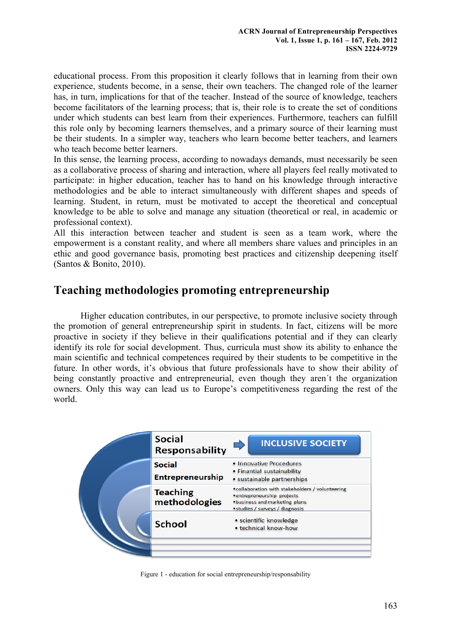educational process. From this proposition it clearly follows that in learning from their own experience, students become, in a sense, their own teachers. The changed role of the learner has, in turn, implications for that of the teacher. Instead of the source of knowledge, teachers become facilitators of the learning process; that is, their role is to create the set of conditions under which students can best learn from their experiences. Furthermore, teachers can fulfill this role only by becoming learners themselves, and a primary source of their learning must be their students. In a simpler way, teachers who learn become better teachers, and learners who teach become better learners.

In this sense, the learning process, according to nowadays demands, must necessarily be seen as a collaborative process of sharing and interaction, where all players feel really motivated to participate: in higher education, teacher has to hand on his knowledge through interactive methodologies and be able to interact simultaneously with different shapes and speeds of learning. Student, in return, must be motivated to accept the theoretical and conceptual knowledge to be able to solve and manage any situation (theoretical or real, in academic or professional context).

All this interaction between teacher and student is seen as a team work, where the empowerment is a constant reality, and where all members share values and principles in an ethic and good governance basis, promoting best practices and citizenship deepening itself (Santos & Bonito, 2010).

# **Teaching methodologies promoting entrepreneurship**

Higher education contributes, in our perspective, to promote inclusive society through the promotion of general entrepreneurship spirit in students. In fact, citizens will be more proactive in society if they believe in their qualifications potential and if they can clearly identify its role for social development. Thus, curricula must show its ability to enhance the main scientific and technical competences required by their students to be competitive in the future. In other words, it's obvious that future professionals have to show their ability of being constantly proactive and entrepreneurial, even though they aren't the organization owners. Only this way can lead us to Europe's competitiveness regarding the rest of the world.

|  | <b>Social</b><br>Responsability          | <b>INCLUSIVE SOCIETY</b>                                                                                                                           |
|--|------------------------------------------|----------------------------------------------------------------------------------------------------------------------------------------------------|
|  | <b>Social</b><br><b>Entrepreneurship</b> | • Innovative Procedures<br>• Finantial sustainability<br>· sustainable partnerships                                                                |
|  | <b>Teaching</b><br>methodologies         | • collaboration with stakeholders / volunteering<br>• entrepreneurship projects<br>·business and marketing plans<br>·studies / surveys / diagnosis |
|  | <b>School</b>                            | • scientific knowledge<br>• technical know-how                                                                                                     |
|  |                                          |                                                                                                                                                    |

Figure 1 - education for social entrepreneurship/responsability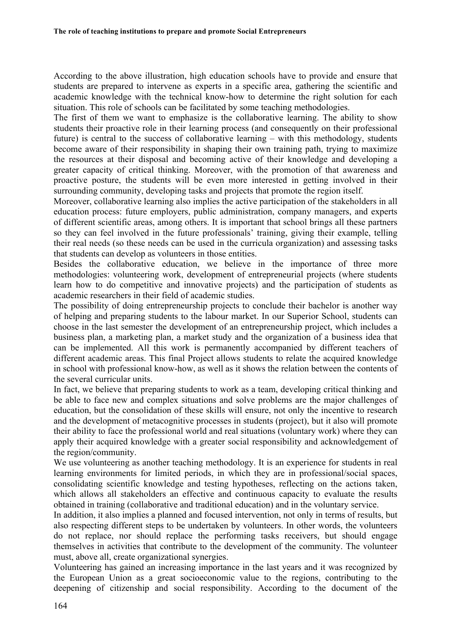According to the above illustration, high education schools have to provide and ensure that students are prepared to intervene as experts in a specific area, gathering the scientific and academic knowledge with the technical know-how to determine the right solution for each situation. This role of schools can be facilitated by some teaching methodologies.

The first of them we want to emphasize is the collaborative learning. The ability to show students their proactive role in their learning process (and consequently on their professional future) is central to the success of collaborative learning – with this methodology, students become aware of their responsibility in shaping their own training path, trying to maximize the resources at their disposal and becoming active of their knowledge and developing a greater capacity of critical thinking. Moreover, with the promotion of that awareness and proactive posture, the students will be even more interested in getting involved in their surrounding community, developing tasks and projects that promote the region itself.

Moreover, collaborative learning also implies the active participation of the stakeholders in all education process: future employers, public administration, company managers, and experts of different scientific areas, among others. It is important that school brings all these partners so they can feel involved in the future professionals' training, giving their example, telling their real needs (so these needs can be used in the curricula organization) and assessing tasks that students can develop as volunteers in those entities.

Besides the collaborative education, we believe in the importance of three more methodologies: volunteering work, development of entrepreneurial projects (where students learn how to do competitive and innovative projects) and the participation of students as academic researchers in their field of academic studies.

The possibility of doing entrepreneurship projects to conclude their bachelor is another way of helping and preparing students to the labour market. In our Superior School, students can choose in the last semester the development of an entrepreneurship project, which includes a business plan, a marketing plan, a market study and the organization of a business idea that can be implemented. All this work is permanently accompanied by different teachers of different academic areas. This final Project allows students to relate the acquired knowledge in school with professional know-how, as well as it shows the relation between the contents of the several curricular units.

In fact, we believe that preparing students to work as a team, developing critical thinking and be able to face new and complex situations and solve problems are the major challenges of education, but the consolidation of these skills will ensure, not only the incentive to research and the development of metacognitive processes in students (project), but it also will promote their ability to face the professional world and real situations (voluntary work) where they can apply their acquired knowledge with a greater social responsibility and acknowledgement of the region/community.

We use volunteering as another teaching methodology. It is an experience for students in real learning environments for limited periods, in which they are in professional/social spaces, consolidating scientific knowledge and testing hypotheses, reflecting on the actions taken, which allows all stakeholders an effective and continuous capacity to evaluate the results obtained in training (collaborative and traditional education) and in the voluntary service.

In addition, it also implies a planned and focused intervention, not only in terms of results, but also respecting different steps to be undertaken by volunteers. In other words, the volunteers do not replace, nor should replace the performing tasks receivers, but should engage themselves in activities that contribute to the development of the community. The volunteer must, above all, create organizational synergies.

Volunteering has gained an increasing importance in the last years and it was recognized by the European Union as a great socioeconomic value to the regions, contributing to the deepening of citizenship and social responsibility. According to the document of the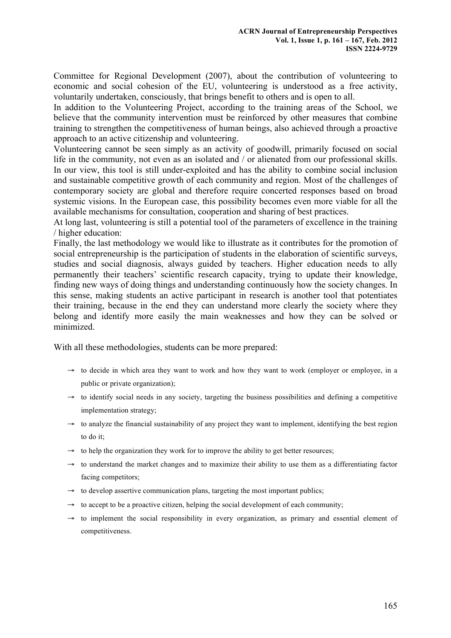Committee for Regional Development (2007), about the contribution of volunteering to economic and social cohesion of the EU, volunteering is understood as a free activity, voluntarily undertaken, consciously, that brings benefit to others and is open to all.

In addition to the Volunteering Project, according to the training areas of the School, we believe that the community intervention must be reinforced by other measures that combine training to strengthen the competitiveness of human beings, also achieved through a proactive approach to an active citizenship and volunteering.

Volunteering cannot be seen simply as an activity of goodwill, primarily focused on social life in the community, not even as an isolated and / or alienated from our professional skills. In our view, this tool is still under-exploited and has the ability to combine social inclusion and sustainable competitive growth of each community and region. Most of the challenges of contemporary society are global and therefore require concerted responses based on broad systemic visions. In the European case, this possibility becomes even more viable for all the available mechanisms for consultation, cooperation and sharing of best practices.

At long last, volunteering is still a potential tool of the parameters of excellence in the training / higher education:

Finally, the last methodology we would like to illustrate as it contributes for the promotion of social entrepreneurship is the participation of students in the elaboration of scientific surveys, studies and social diagnosis, always guided by teachers. Higher education needs to ally permanently their teachers' scientific research capacity, trying to update their knowledge, finding new ways of doing things and understanding continuously how the society changes. In this sense, making students an active participant in research is another tool that potentiates their training, because in the end they can understand more clearly the society where they belong and identify more easily the main weaknesses and how they can be solved or minimized.

With all these methodologies, students can be more prepared:

- $\rightarrow$  to decide in which area they want to work and how they want to work (employer or employee, in a public or private organization);
- $\rightarrow$  to identify social needs in any society, targeting the business possibilities and defining a competitive implementation strategy;
- $\rightarrow$  to analyze the financial sustainability of any project they want to implement, identifying the best region to do it;
- $\rightarrow$  to help the organization they work for to improve the ability to get better resources;
- $\rightarrow$  to understand the market changes and to maximize their ability to use them as a differentiating factor facing competitors;
- $\rightarrow$  to develop assertive communication plans, targeting the most important publics;
- $\rightarrow$  to accept to be a proactive citizen, helping the social development of each community;
- $\rightarrow$  to implement the social responsibility in every organization, as primary and essential element of competitiveness.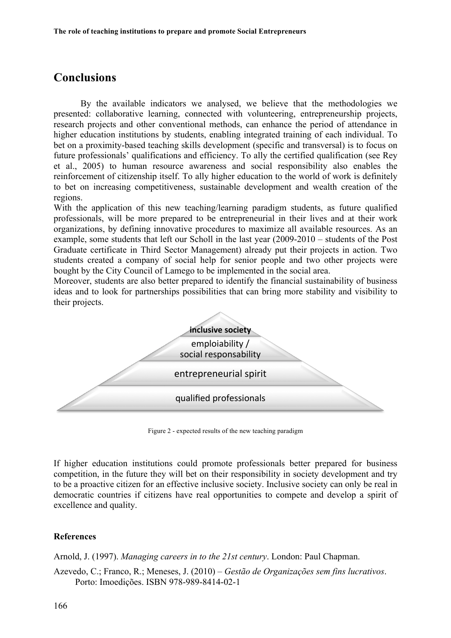## **Conclusions**

By the available indicators we analysed, we believe that the methodologies we presented: collaborative learning, connected with volunteering, entrepreneurship projects, research projects and other conventional methods, can enhance the period of attendance in higher education institutions by students, enabling integrated training of each individual. To bet on a proximity-based teaching skills development (specific and transversal) is to focus on future professionals' qualifications and efficiency. To ally the certified qualification (see Rey et al., 2005) to human resource awareness and social responsibility also enables the reinforcement of citizenship itself. To ally higher education to the world of work is definitely to bet on increasing competitiveness, sustainable development and wealth creation of the regions.

With the application of this new teaching/learning paradigm students, as future qualified professionals, will be more prepared to be entrepreneurial in their lives and at their work organizations, by defining innovative procedures to maximize all available resources. As an example, some students that left our Scholl in the last year (2009-2010 – students of the Post Graduate certificate in Third Sector Management) already put their projects in action. Two students created a company of social help for senior people and two other projects were bought by the City Council of Lamego to be implemented in the social area.

Moreover, students are also better prepared to identify the financial sustainability of business ideas and to look for partnerships possibilities that can bring more stability and visibility to their projects.



Figure 2 - expected results of the new teaching paradigm

If higher education institutions could promote professionals better prepared for business competition, in the future they will bet on their responsibility in society development and try to be a proactive citizen for an effective inclusive society. Inclusive society can only be real in democratic countries if citizens have real opportunities to compete and develop a spirit of excellence and quality.

#### **References**

Arnold, J. (1997). *Managing careers in to the 21st century*. London: Paul Chapman.

Azevedo, C.; Franco, R.; Meneses, J. (2010) – *Gestão de Organizações sem fins lucrativos*. Porto: Imoedições. ISBN 978-989-8414-02-1